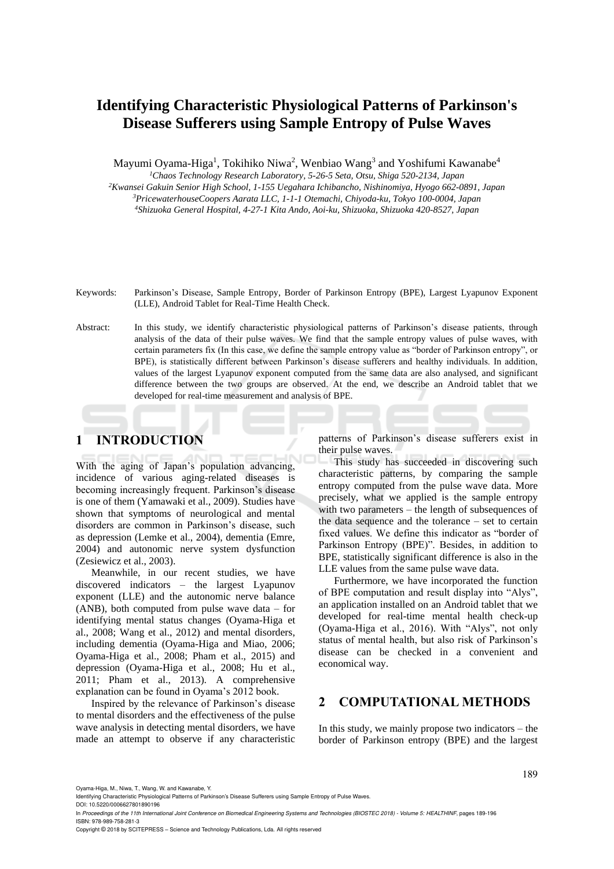# **Identifying Characteristic Physiological Patterns of Parkinson's Disease Sufferers using Sample Entropy of Pulse Waves**

Mayumi Oyama-Higa $^1$ , Tokihiko Niwa $^2$ , Wenbiao Wang $^3$  and Yoshifumi Kawanabe $^4$ 

*<sup>1</sup>Chaos Technology Research Laboratory, 5-26-5 Seta, Otsu, Shiga 520-2134, Japan*

*<sup>2</sup>Kwansei Gakuin Senior High School, 1-155 Uegahara Ichibancho, Nishinomiya, Hyogo 662-0891, Japan <sup>3</sup>PricewaterhouseCoopers Aarata LLC, 1-1-1 Otemachi, Chiyoda-ku, Tokyo 100-0004, Japan <sup>4</sup>Shizuoka General Hospital, 4-27-1 Kita Ando, Aoi-ku, Shizuoka, Shizuoka 420-8527, Japan* 

Keywords: Parkinson's Disease, Sample Entropy, Border of Parkinson Entropy (BPE), Largest Lyapunov Exponent (LLE), Android Tablet for Real-Time Health Check.

Abstract: In this study, we identify characteristic physiological patterns of Parkinson's disease patients, through analysis of the data of their pulse waves. We find that the sample entropy values of pulse waves, with certain parameters fix (In this case, we define the sample entropy value as "border of Parkinson entropy", or BPE), is statistically different between Parkinson's disease sufferers and healthy individuals. In addition, values of the largest Lyapunov exponent computed from the same data are also analysed, and significant difference between the two groups are observed. At the end, we describe an Android tablet that we developed for real-time measurement and analysis of BPE.

# **1 INTRODUCTION**

With the aging of Japan's population advancing, incidence of various aging-related diseases is becoming increasingly frequent. Parkinson's disease is one of them (Yamawaki et al., 2009). Studies have shown that symptoms of neurological and mental disorders are common in Parkinson's disease, such as depression (Lemke et al., 2004), dementia (Emre, 2004) and autonomic nerve system dysfunction (Zesiewicz et al., 2003).

Meanwhile, in our recent studies, we have discovered indicators – the largest Lyapunov exponent (LLE) and the autonomic nerve balance (ANB), both computed from pulse wave data – for identifying mental status changes (Oyama-Higa et al., 2008; Wang et al., 2012) and mental disorders, including dementia (Oyama-Higa and Miao, 2006; Oyama-Higa et al., 2008; Pham et al., 2015) and depression (Oyama-Higa et al., 2008; Hu et al., 2011; Pham et al., 2013). A comprehensive explanation can be found in Oyama's 2012 book.

Inspired by the relevance of Parkinson's disease to mental disorders and the effectiveness of the pulse wave analysis in detecting mental disorders, we have made an attempt to observe if any characteristic patterns of Parkinson's disease sufferers exist in their pulse waves.

This study has succeeded in discovering such characteristic patterns, by comparing the sample entropy computed from the pulse wave data. More precisely, what we applied is the sample entropy with two parameters – the length of subsequences of the data sequence and the tolerance – set to certain fixed values. We define this indicator as "border of Parkinson Entropy (BPE)". Besides, in addition to BPE, statistically significant difference is also in the LLE values from the same pulse wave data.

Furthermore, we have incorporated the function of BPE computation and result display into "Alys", an application installed on an Android tablet that we developed for real-time mental health check-up (Oyama-Higa et al., 2016). With "Alys", not only status of mental health, but also risk of Parkinson's disease can be checked in a convenient and economical way.

# **2 COMPUTATIONAL METHODS**

In this study, we mainly propose two indicators  $-$  the border of Parkinson entropy (BPE) and the largest

Oyama-Higa, M., Niwa, T., Wang, W. and Kawanabe, Y.

Copyright © 2018 by SCITEPRESS – Science and Technology Publications, Lda. All rights reserved

Identifying Characteristic Physiological Patterns of Parkinson's Disease Sufferers using Sample Entropy of Pulse Waves.

DOI: 10.5220/0006627801890196 In *Proceedings of the 11th International Joint Conference on Biomedical Engineering Systems and Technologies (BIOSTEC 2018) - Volume 5: HEALTHINF*, pages 189-196 ISBN: 978-989-758-281-3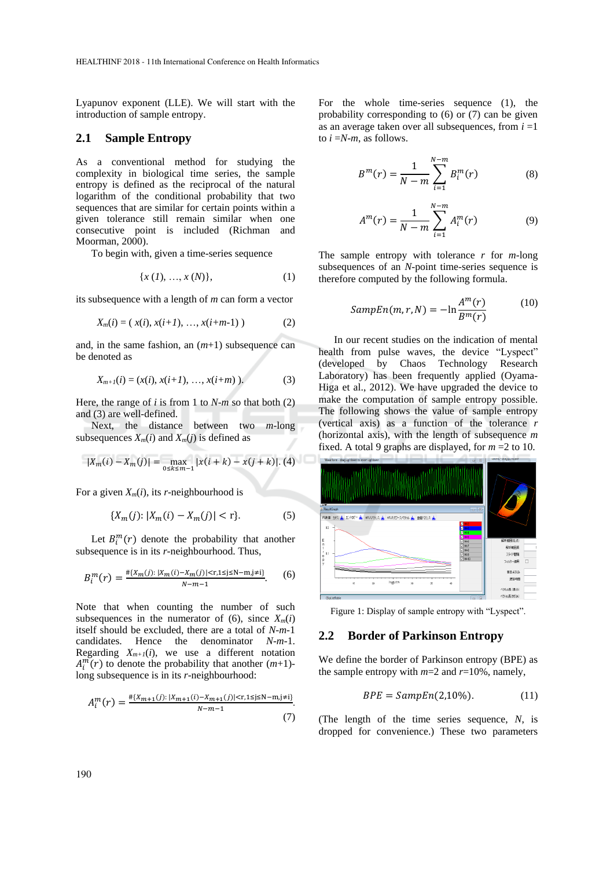Lyapunov exponent (LLE). We will start with the introduction of sample entropy.

### **2.1 Sample Entropy**

As a conventional method for studying the complexity in biological time series, the sample entropy is defined as the reciprocal of the natural logarithm of the conditional probability that two sequences that are similar for certain points within a given tolerance still remain similar when one consecutive point is included (Richman and Moorman, 2000).

To begin with, given a time-series sequence

$$
\{x (1), ..., x (N)\},\tag{1}
$$

its subsequence with a length of *m* can form a vector

$$
X_m(i) = (x(i), x(i+1), \ldots, x(i+m-1))
$$
 (2)

and, in the same fashion, an (*m*+1) subsequence can be denoted as

$$
X_{m+1}(i) = (x(i), x(i+1), \ldots, x(i+m)).
$$
 (3)

Here, the range of  $i$  is from 1 to  $N-m$  so that both (2) and (3) are well-defined.

Next, the distance between two *m*-long subsequences  $X_m(i)$  and  $X_m(j)$  is defined as

$$
|X_m(i) - X_m(j)| = \max_{0 \le k \le m-1} |x(i+k) - x(j+k)|. (4)
$$

For a given *Xm*(*i*), its *r*-neighbourhood is

$$
\{X_m(j) : |X_m(i) - X_m(j)| < r\}.\tag{5}
$$

Let  $B_i^m(r)$  denote the probability that another subsequence is in its *r*-neighbourhood. Thus,

$$
B_i^m(r) = \frac{\#(X_m(j): |X_m(i) - X_m(j)| < r, 1 \le j \le N - m, j \ne i\}}{N - m - 1}.\tag{6}
$$

Note that when counting the number of such subsequences in the numerator of (6), since  $X_m(i)$ itself should be excluded, there are a total of *N*-*m*-1 candidates. Hence the denominator *N*-*m*-1. Regarding  $X_{m+1}(i)$ , we use a different notation  $A_l^m(r)$  to denote the probability that another  $(m+1)$ long subsequence is in its *r*-neighbourhood:

$$
A_i^m(r) = \frac{\# \{X_{m+1}(j) : |X_{m+1}(i) - X_{m+1}(j)| < r, 1 \le j \le N - m, j \ne i\}}{N - m - 1}.
$$
\n(7)

For the whole time-series sequence (1), the probability corresponding to (6) or (7) can be given as an average taken over all subsequences, from *i* =1 to  $i = N-m$ , as follows.

$$
B^{m}(r) = \frac{1}{N-m} \sum_{i=1}^{N-m} B_{i}^{m}(r)
$$
 (8)

$$
A^{m}(r) = \frac{1}{N-m} \sum_{i=1}^{N-m} A_{i}^{m}(r)
$$
 (9)

The sample entropy with tolerance *r* for *m*-long subsequences of an *N*-point time-series sequence is therefore computed by the following formula.

$$
SampEn(m, r, N) = -\ln \frac{A^m(r)}{B^m(r)}
$$
(10)

In our recent studies on the indication of mental health from pulse waves, the device "Lyspect" (developed by Chaos Technology Research Laboratory) has been frequently applied (Oyama-Higa et al., 2012). We have upgraded the device to make the computation of sample entropy possible. The following shows the value of sample entropy (vertical axis) as a function of the tolerance *r* (horizontal axis), with the length of subsequence *m* fixed. A total 9 graphs are displayed, for  $m = 2$  to 10.



Figure 1: Display of sample entropy with "Lyspect".

#### **2.2 Border of Parkinson Entropy**

We define the border of Parkinson entropy (BPE) as the sample entropy with  $m=2$  and  $r=10\%$ , namely,

$$
BPE = SampEn(2,10\%). \tag{11}
$$

(The length of the time series sequence, *N*, is dropped for convenience.) These two parameters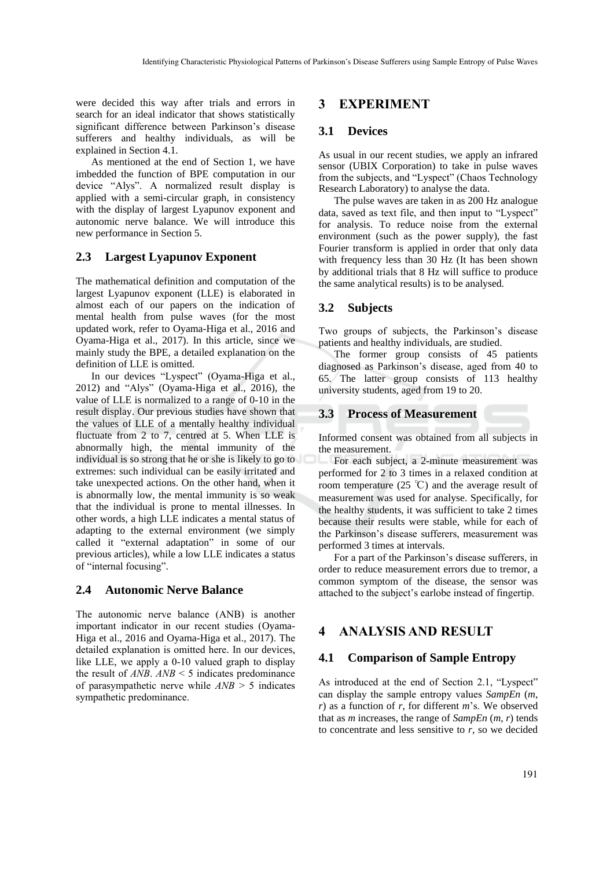were decided this way after trials and errors in search for an ideal indicator that shows statistically significant difference between Parkinson's disease sufferers and healthy individuals, as will be explained in Section 4.1.

As mentioned at the end of Section 1, we have imbedded the function of BPE computation in our device "Alys". A normalized result display is applied with a semi-circular graph, in consistency with the display of largest Lyapunov exponent and autonomic nerve balance. We will introduce this new performance in Section 5.

### **2.3 Largest Lyapunov Exponent**

The mathematical definition and computation of the largest Lyapunov exponent (LLE) is elaborated in almost each of our papers on the indication of mental health from pulse waves (for the most updated work, refer to Oyama-Higa et al., 2016 and Oyama-Higa et al., 2017). In this article, since we mainly study the BPE, a detailed explanation on the definition of LLE is omitted.

In our devices "Lyspect" (Oyama-Higa et al., 2012) and "Alys" (Oyama-Higa et al., 2016), the value of LLE is normalized to a range of 0-10 in the result display. Our previous studies have shown that the values of LLE of a mentally healthy individual fluctuate from 2 to 7, centred at 5. When LLE is abnormally high, the mental immunity of the individual is so strong that he or she is likely to go to extremes: such individual can be easily irritated and take unexpected actions. On the other hand, when it is abnormally low, the mental immunity is so weak that the individual is prone to mental illnesses. In other words, a high LLE indicates a mental status of adapting to the external environment (we simply called it "external adaptation" in some of our previous articles), while a low LLE indicates a status of "internal focusing".

#### **2.4 Autonomic Nerve Balance**

The autonomic nerve balance (ANB) is another important indicator in our recent studies (Oyama-Higa et al., 2016 and Oyama-Higa et al., 2017). The detailed explanation is omitted here. In our devices, like LLE, we apply a 0-10 valued graph to display the result of  $ANB$ .  $ANB \leq 5$  indicates predominance of parasympathetic nerve while *ANB* > 5 indicates sympathetic predominance.

## **3 EXPERIMENT**

# **3.1 Devices**

As usual in our recent studies, we apply an infrared sensor (UBIX Corporation) to take in pulse waves from the subjects, and "Lyspect" (Chaos Technology Research Laboratory) to analyse the data.

The pulse waves are taken in as 200 Hz analogue data, saved as text file, and then input to "Lyspect" for analysis. To reduce noise from the external environment (such as the power supply), the fast Fourier transform is applied in order that only data with frequency less than 30 Hz (It has been shown by additional trials that 8 Hz will suffice to produce the same analytical results) is to be analysed.

### **3.2 Subjects**

Two groups of subjects, the Parkinson's disease patients and healthy individuals, are studied.

The former group consists of 45 patients diagnosed as Parkinson's disease, aged from 40 to 65. The latter group consists of 113 healthy university students, aged from 19 to 20.

#### **3.3 Process of Measurement**

Informed consent was obtained from all subjects in the measurement.

For each subject, a 2-minute measurement was performed for 2 to 3 times in a relaxed condition at room temperature (25 °C) and the average result of measurement was used for analyse. Specifically, for the healthy students, it was sufficient to take 2 times because their results were stable, while for each of the Parkinson's disease sufferers, measurement was performed 3 times at intervals.

For a part of the Parkinson's disease sufferers, in order to reduce measurement errors due to tremor, a common symptom of the disease, the sensor was attached to the subject's earlobe instead of fingertip.

# **4 ANALYSIS AND RESULT**

### **4.1 Comparison of Sample Entropy**

As introduced at the end of Section 2.1, "Lyspect" can display the sample entropy values *SampEn* (*m*, *r*) as a function of *r*, for different *m*'s. We observed that as *m* increases, the range of *SampEn* (*m*, *r*) tends to concentrate and less sensitive to  $r$ , so we decided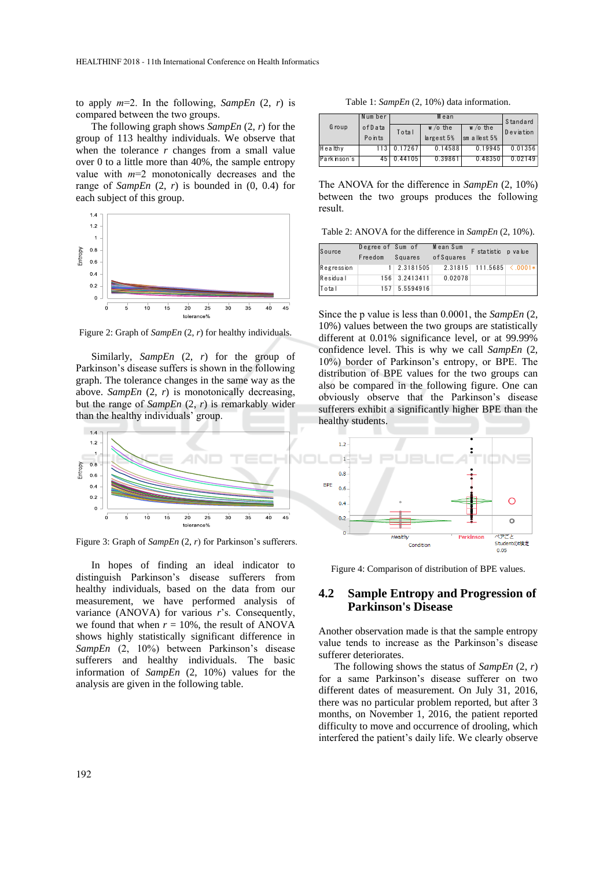to apply  $m=2$ . In the following, *SampEn*  $(2, r)$  is compared between the two groups.

The following graph shows *SampEn* (2, *r*) for the group of 113 healthy individuals. We observe that when the tolerance  $r$  changes from a small value over 0 to a little more than 40%, the sample entropy value with *m*=2 monotonically decreases and the range of  $SampEn (2, r)$  is bounded in  $(0, 0.4)$  for each subject of this group.



Figure 2: Graph of *SampEn* (2, *r*) for healthy individuals.

Similarly, *SampEn* (2, *r*) for the group of Parkinson's disease suffers is shown in the following graph. The tolerance changes in the same way as the above. *SampEn* (2, *r*) is monotonically decreasing, but the range of *SampEn* (2, *r*) is remarkably wider than the healthy individuals' group.



Figure 3: Graph of *SampEn* (2, *r*) for Parkinson's sufferers.

In hopes of finding an ideal indicator to distinguish Parkinson's disease sufferers from healthy individuals, based on the data from our measurement, we have performed analysis of variance (ANOVA) for various *r*'s. Consequently, we found that when  $r = 10\%$ , the result of ANOVA shows highly statistically significant difference in *SampEn* (2, 10%) between Parkinson's disease sufferers and healthy individuals. The basic information of *SampEn* (2, 10%) values for the analysis are given in the following table.

| Table 1: $SampEn (2, 10%)$ data information. |         |         |            |                 |                 |  |
|----------------------------------------------|---------|---------|------------|-----------------|-----------------|--|
|                                              | Num ber | Mean    |            |                 | <b>Standard</b> |  |
| G roup                                       | ofData  | Total   | $w/$ o the | $w/0$ the       | Deviation       |  |
|                                              | Points  |         | largest 5% | sm a llest $5%$ |                 |  |
| H ealth v                                    |         | 17267   | 0.14588    | 0.19945         | 0.01356         |  |
| Parkinson's                                  | 45      | 0.44105 | 0.39861    | 0.48350         | 0.02149         |  |

The ANOVA for the difference in *SampEn* (2, 10%) between the two groups produces the following result.

| Table 2: ANOVA for the difference in SampEn (2, 10%). |         |                           |           |                                 |  |  |
|-------------------------------------------------------|---------|---------------------------|-----------|---------------------------------|--|--|
| Source                                                |         | Degree of Sum of Mean Sum |           | F statistic p value             |  |  |
|                                                       | Freedom | Squares                   | ofSquares |                                 |  |  |
| Regression                                            |         | 1 2.3181505               |           | $2.31815$ 11.5685 $\leq .0001*$ |  |  |
| <b>Residual</b>                                       |         | 156 3.2413411             | 0.02078   |                                 |  |  |
| Total                                                 | 157     | 5.5594916                 |           |                                 |  |  |

Since the p value is less than 0.0001, the *SampEn* (2, 10%) values between the two groups are statistically different at 0.01% significance level, or at 99.99% confidence level. This is why we call *SampEn* (2, 10%) border of Parkinson's entropy, or BPE. The distribution of BPE values for the two groups can also be compared in the following figure. One can obviously observe that the Parkinson's disease sufferers exhibit a significantly higher BPE than the healthy students.



Figure 4: Comparison of distribution of BPE values.

## **4.2 Sample Entropy and Progression of Parkinson's Disease**

Another observation made is that the sample entropy value tends to increase as the Parkinson's disease sufferer deteriorates.

The following shows the status of *SampEn* (2, *r*) for a same Parkinson's disease sufferer on two different dates of measurement. On July 31, 2016, there was no particular problem reported, but after 3 months, on November 1, 2016, the patient reported difficulty to move and occurrence of drooling, which interfered the patient's daily life. We clearly observe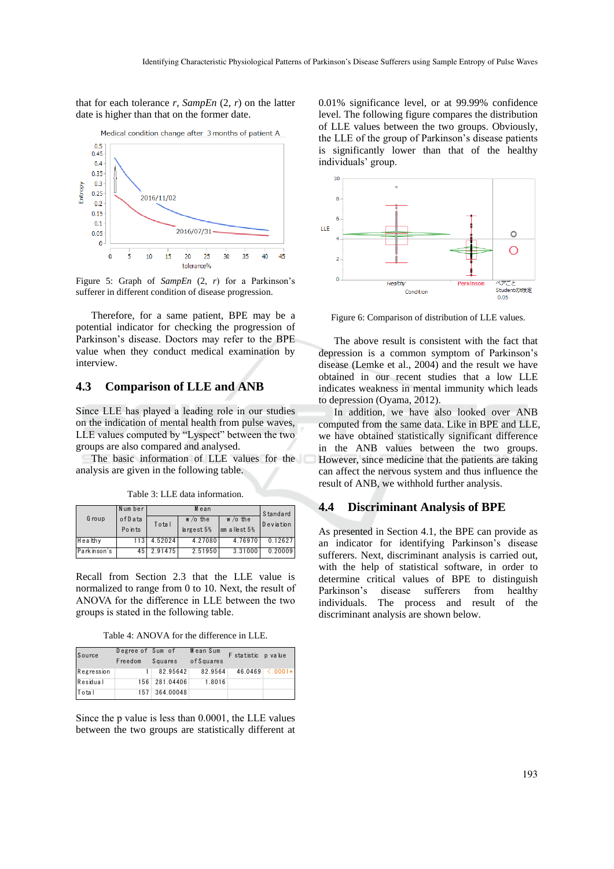that for each tolerance  $r$ , *SampEn*  $(2, r)$  on the latter date is higher than that on the former date.



Figure 5: Graph of *SampEn* (2, *r*) for a Parkinson's sufferer in different condition of disease progression.

Therefore, for a same patient, BPE may be a potential indicator for checking the progression of Parkinson's disease. Doctors may refer to the BPE value when they conduct medical examination by interview.

### **4.3 Comparison of LLE and ANB**

Since LLE has played a leading role in our studies on the indication of mental health from pulse waves, LLE values computed by "Lyspect" between the two groups are also compared and analysed.

The basic information of LLE values for the analysis are given in the following table.

| Table 3: LLE data information. |        |         |                 |                |             |  |
|--------------------------------|--------|---------|-----------------|----------------|-------------|--|
| Num ber<br>Mean                |        |         | Standard        |                |             |  |
| G roup                         | ofData | Total   | $w$ /o the      | $w$ /o the     | Deviation   |  |
|                                | Points |         | $large$ st $5%$ | sm allest $5%$ |             |  |
| <b>Healthy</b>                 | 113    | 4.52024 | 4.27080         | 4.76970        | 0 1 2 6 2 7 |  |
| Parkinson's                    | 45     |         | 2.51950         |                |             |  |

Recall from Section 2.3 that the LLE value is normalized to range from 0 to 10. Next, the result of ANOVA for the difference in LLE between the two groups is stated in the following table.

| Table 4: ANOVA for the difference in LLE. |                  |               |           |                     |                        |  |
|-------------------------------------------|------------------|---------------|-----------|---------------------|------------------------|--|
| Source                                    | Degree of Sum of |               | Mean Sum  | F statistic p value |                        |  |
|                                           | Freedom          | Squares       | ofSquares |                     |                        |  |
| Regression                                |                  | 82.95642      | 82.9564   |                     | $46.0469 \times 0001*$ |  |
| Residual                                  |                  | 156 281.04406 | 1.8016    |                     |                        |  |
| Total                                     | 157              | 364.00048     |           |                     |                        |  |

Since the p value is less than 0.0001, the LLE values between the two groups are statistically different at 0.01% significance level, or at 99.99% confidence level. The following figure compares the distribution of LLE values between the two groups. Obviously, the LLE of the group of Parkinson's disease patients is significantly lower than that of the healthy individuals' group.



Figure 6: Comparison of distribution of LLE values.

The above result is consistent with the fact that depression is a common symptom of Parkinson's disease (Lemke et al., 2004) and the result we have obtained in our recent studies that a low LLE indicates weakness in mental immunity which leads to depression (Oyama, 2012).

In addition, we have also looked over ANB computed from the same data. Like in BPE and LLE, we have obtained statistically significant difference in the ANB values between the two groups. However, since medicine that the patients are taking can affect the nervous system and thus influence the result of ANB, we withhold further analysis.

#### **4.4 Discriminant Analysis of BPE**

As presented in Section 4.1, the BPE can provide as an indicator for identifying Parkinson's disease sufferers. Next, discriminant analysis is carried out, with the help of statistical software, in order to determine critical values of BPE to distinguish Parkinson's disease sufferers from healthy individuals. The process and result of the discriminant analysis are shown below.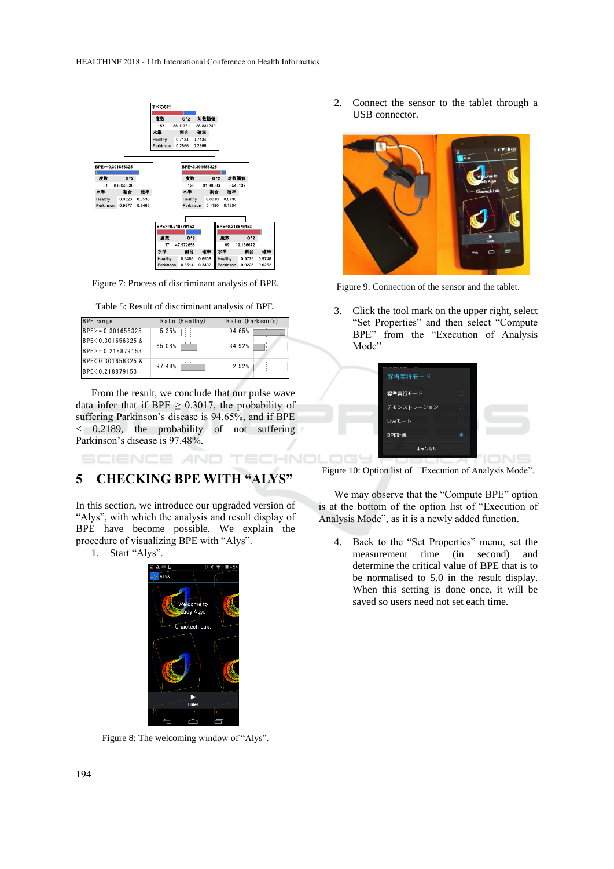

Figure 7: Process of discriminant analysis of BPE.

| Table 5: Result of discriminant analysis of BPE. |  |  |
|--------------------------------------------------|--|--|
|                                                  |  |  |

| Table 5: Result of discriminant analysis of BPE. |                 |                    |  |  |  |
|--------------------------------------------------|-----------------|--------------------|--|--|--|
| <b>BPE</b> range                                 | Ratio (Healthy) | Ratio (Parkison's) |  |  |  |
| $BPE$ = 0.301656325                              | 5.35%           | 94.65%             |  |  |  |
| BPE<0.301656325 &                                | 65.08%          | 34.92%             |  |  |  |
| $BPE$ = 0.218879153                              |                 |                    |  |  |  |
| BPE<0.301656325 &                                | 97.48%          | 2.52%              |  |  |  |
| BPE<0.218879153                                  |                 |                    |  |  |  |

From the result, we conclude that our pulse wave data infer that if BPE  $\geq$  0.3017, the probability of suffering Parkinson's disease is 94.65%, and if BPE < 0.2189, the probability of not suffering Parkinson's disease is 97.48%.

# **5 CHECKING BPE WITH "ALYS"**

HNOL

In this section, we introduce our upgraded version of "Alys", with which the analysis and result display of BPE have become possible. We explain the procedure of visualizing BPE with "Alys".

1. Start "Alys".

**EIENCE** 



Figure 8: The welcoming window of "Alys".

2. Connect the sensor to the tablet through a USB connector.



Figure 9: Connection of the sensor and the tablet.

3. Click the tool mark on the upper right, select "Set Properties" and then select "Compute BPE" from the "Execution of Analysis Mode"

| 解析実行モード    |                                             |  |
|------------|---------------------------------------------|--|
| 標準実行モード    | $\bigcirc$                                  |  |
| デモンストレーション | - 01                                        |  |
| Liveモード    | $\left(\begin{array}{c}1\end{array}\right)$ |  |
| BPE計算      |                                             |  |
| キャンセル      |                                             |  |

Figure 10: Option list of "Execution of Analysis Mode".

We may observe that the "Compute BPE" option is at the bottom of the option list of "Execution of Analysis Mode", as it is a newly added function.

4. Back to the "Set Properties" menu, set the measurement time (in second) and determine the critical value of BPE that is to be normalised to 5.0 in the result display. When this setting is done once, it will be saved so users need not set each time.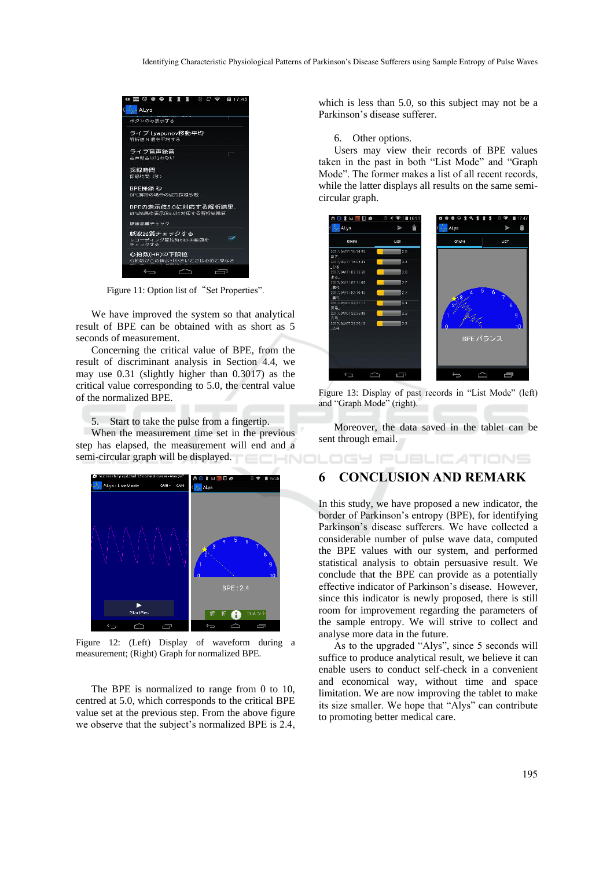

Figure 11: Option list of "Set Properties".

We have improved the system so that analytical result of BPE can be obtained with as short as 5 seconds of measurement.

Concerning the critical value of BPE, from the result of discriminant analysis in Section 4.4, we may use 0.31 (slightly higher than 0.3017) as the critical value corresponding to 5.0, the central value of the normalized BPE.

5. Start to take the pulse from a fingertip.

When the measurement time set in the previous step has elapsed, the measurement will end and a semi-circular graph will be displayed.



Figure 12: (Left) Display of waveform during a measurement; (Right) Graph for normalized BPE.

The BPE is normalized to range from 0 to 10, centred at 5.0, which corresponds to the critical BPE value set at the previous step. From the above figure we observe that the subject's normalized BPE is 2.4,

which is less than 5.0, so this subject may not be a Parkinson's disease sufferer.

6. Other options.

Users may view their records of BPE values taken in the past in both "List Mode" and "Graph Mode". The former makes a list of all recent records, while the latter displays all results on the same semicircular graph.



Figure 13: Display of past records in "List Mode" (left) and "Graph Mode" (right).

Moreover, the data saved in the tablet can be sent through email.

**IGY PUBLICATIONS** 

## **6 CONCLUSION AND REMARK**

In this study, we have proposed a new indicator, the border of Parkinson's entropy (BPE), for identifying Parkinson's disease sufferers. We have collected a considerable number of pulse wave data, computed the BPE values with our system, and performed statistical analysis to obtain persuasive result. We conclude that the BPE can provide as a potentially effective indicator of Parkinson's disease. However, since this indicator is newly proposed, there is still room for improvement regarding the parameters of the sample entropy. We will strive to collect and analyse more data in the future.

As to the upgraded "Alys", since 5 seconds will suffice to produce analytical result, we believe it can enable users to conduct self-check in a convenient and economical way, without time and space limitation. We are now improving the tablet to make its size smaller. We hope that "Alys" can contribute to promoting better medical care.